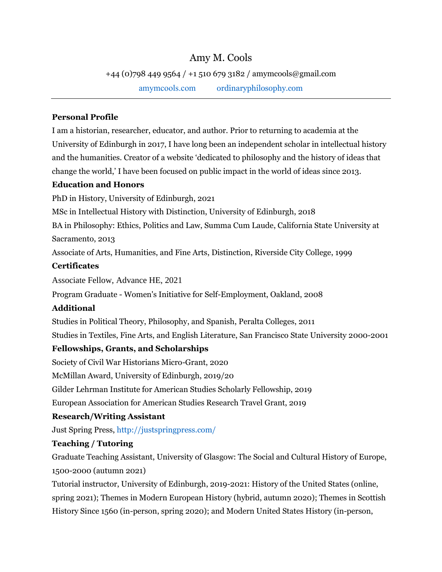# Amy M. Cools

+44 (0)798 449 9564 / +1 510 679 3182 / amymcools@gmail.com

[amymcools.com](https://amymcools.com/) [ordinaryphilosophy.com](http://www.ordinaryphilosophy.com/)

# **Personal Profile**

I am a historian, researcher, educator, and author. Prior to returning to academia at the University of Edinburgh in 2017, I have long been an independent scholar in intellectual history and the humanities. Creator of a website 'dedicated to philosophy and the history of ideas that change the world,' I have been focused on public impact in the world of ideas since 2013.

### **Education and Honors**

PhD in History, University of Edinburgh, 2021

MSc in Intellectual History with Distinction, University of Edinburgh, 2018

BA in Philosophy: Ethics, Politics and Law, Summa Cum Laude, California State University at Sacramento, 2013

Associate of Arts, Humanities, and Fine Arts, Distinction, Riverside City College, 1999

### **Certificates**

Associate Fellow, Advance HE, 2021

Program Graduate - Women's Initiative for Self-Employment, Oakland, 2008

# **Additional**

Studies in Political Theory, Philosophy, and Spanish, Peralta Colleges, 2011

Studies in Textiles, Fine Arts, and English Literature, San Francisco State University 2000-2001

# **Fellowships, Grants, and Scholarships**

Society of Civil War Historians Micro-Grant, 2020

McMillan Award, University of Edinburgh, 2019/20

Gilder Lehrman Institute for American Studies Scholarly Fellowship, 2019

European Association for American Studies Research Travel Grant, 2019

# **Research/Writing Assistant**

Just Spring Press,<http://justspringpress.com/>

# **Teaching / Tutoring**

Graduate Teaching Assistant, University of Glasgow: The Social and Cultural History of Europe, 1500-2000 (autumn 2021)

Tutorial instructor, University of Edinburgh, 2019-2021: History of the United States (online, spring 2021); Themes in Modern European History (hybrid, autumn 2020); Themes in Scottish History Since 1560 (in-person, spring 2020); and Modern United States History (in-person,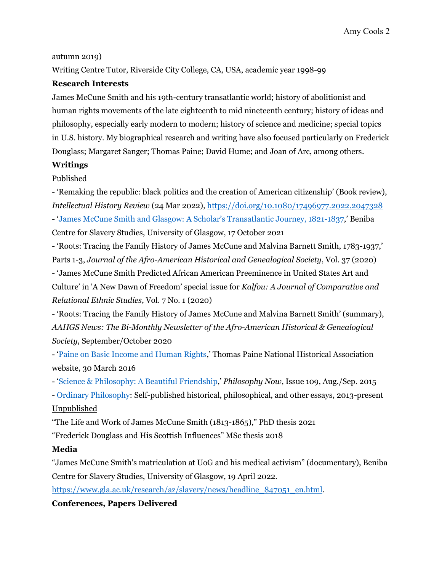#### autumn 2019)

Writing Centre Tutor, Riverside City College, CA, USA, academic year 1998-99

#### **Research Interests**

James McCune Smith and his 19th-century transatlantic world; history of abolitionist and human rights movements of the late eighteenth to mid nineteenth century; history of ideas and philosophy, especially early modern to modern; history of science and medicine; special topics in U.S. history. My biographical research and writing have also focused particularly on Frederick Douglass; Margaret Sanger; Thomas Paine; David Hume; and Joan of Arc, among others.

#### **Writings**

### Published

- 'Remaking the republic: black politics and the creation of American citizenship' (Book review), *Intellectual History Review* (24 Mar 2022), <https://doi.org/10.1080/17496977.2022.2047328> - ['James McCune Smith and Glasgow: A Scholar's Transatlantic Journey, 1821-1837,](https://www.gla.ac.uk/research/az/slavery/news/headline_815417_en.html)' Beniba Centre for Slavery Studies, University of Glasgow, 17 October 2021

- 'Roots: Tracing the Family History of James McCune and Malvina Barnett Smith, 1783-1937,' Parts 1-3, *Journal of the Afro-American Historical and Genealogical Society*, Vol. 37 (2020)

- 'James McCune Smith Predicted African American Preeminence in United States Art and Culture' in 'A New Dawn of Freedom' special issue for *Kalfou: A Journal of Comparative and Relational Ethnic Studies*, Vol. 7 No. 1 (2020)

- 'Roots: Tracing the Family History of James McCune and Malvina Barnett Smith' (summary), *AAHGS News: The Bi-Monthly Newsletter of the Afro-American Historical & Genealogical Society*, September/October 2020

- ['Paine on Basic Income and Human Rights,](http://thomaspaine.org/paine-on-basic-income-and-human-rights.html)' Thomas Paine National Historical Association website, 30 March 2016

- ['Science & Philosophy: A Beautiful Friendship,](https://philosophynow.org/issues/109/Science_and_Philosophy_A_Beautiful_Friendship)' *Philosophy Now*, Issue 109, Aug./Sep. 2015

- [Ordinary Philosophy:](http://www.ordinaryphilosophy.com/) Self-published historical, philosophical, and other essays, 2013-present

#### Unpublished

"The Life and Work of James McCune Smith (1813-1865)," PhD thesis 2021

"Frederick Douglass and His Scottish Influences" MSc thesis 2018

### **Media**

"James McCune Smith's matriculation at UoG and his medical activism" (documentary), Beniba Centre for Slavery Studies, University of Glasgow, 19 April 2022.

[https://www.gla.ac.uk/research/az/slavery/news/headline\\_847051\\_en.html.](https://www.gla.ac.uk/research/az/slavery/news/headline_847051_en.html)

### **Conferences, Papers Delivered**